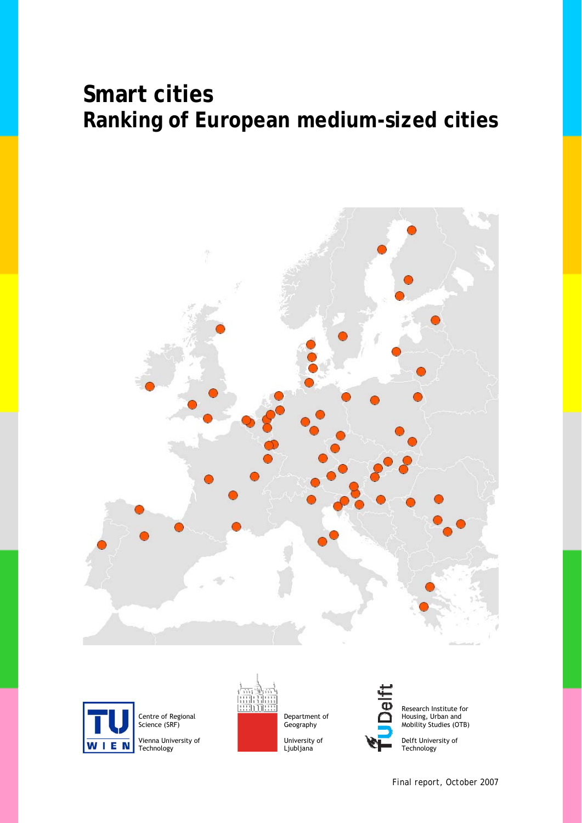



Centre of Regional Science (SRF)

Vienna University of Technology



Department of Geography

University of Ljubljana



Research Institute for Housing, Urban and Mobility Studies (OTB)

Delft University of Technology

 *Final report, October 2007*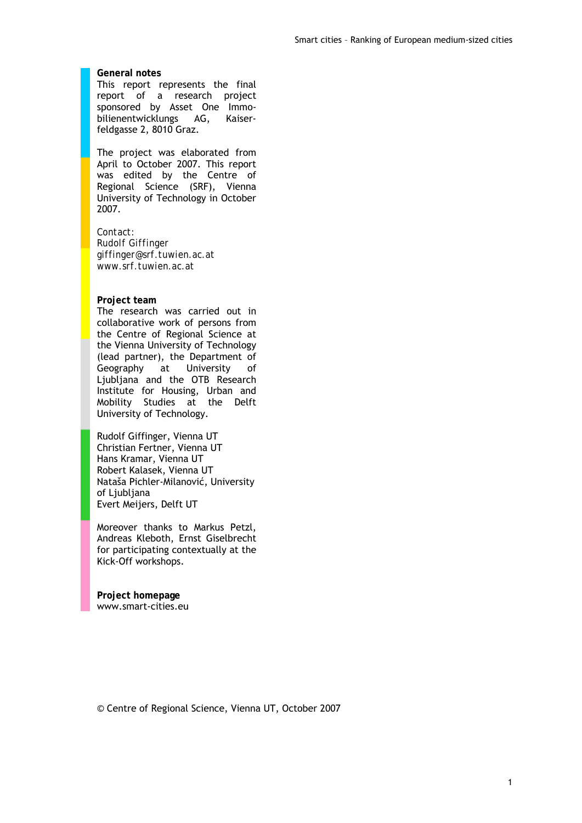#### **General notes**

This report represents the final report of a research project sponsored by Asset One Immobilienentwicklungs AG, Kaiserfeldgasse 2, 8010 Graz.

The project was elaborated from April to October 2007. This report was edited by the Centre of Regional Science (SRF), Vienna University of Technology in October 2007.

*Contact: Rudolf Giffinger giffinger@srf.tuwien.ac.at www.srf.tuwien.ac.at* 

#### **Project team**

The research was carried out in collaborative work of persons from the Centre of Regional Science at the Vienna University of Technology (lead partner), the Department of<br>Geography at University of Geography at University of Ljubljana and the OTB Research Institute for Housing, Urban and Mobility Studies at the Delft University of Technology.

Rudolf Giffinger, Vienna UT Christian Fertner, Vienna UT Hans Kramar, Vienna UT Robert Kalasek, Vienna UT Nataša Pichler-Milanović, University of Ljubljana Evert Meijers, Delft UT

Moreover thanks to Markus Petzl, Andreas Kleboth, Ernst Giselbrecht for participating contextually at the Kick-Off workshops.

**Project homepage**  www.smart-cities.eu

© Centre of Regional Science, Vienna UT, October 2007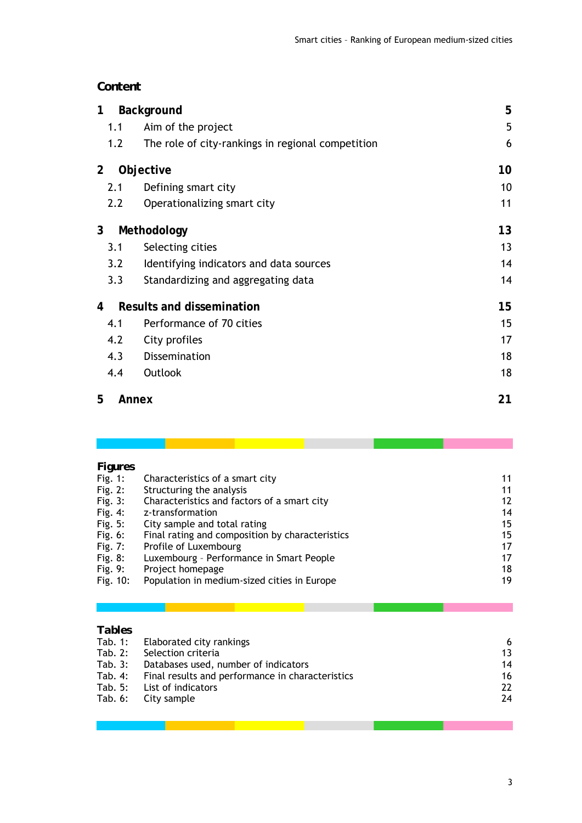### *Content*

| 1              | <b>Background</b>                                 | 5  |
|----------------|---------------------------------------------------|----|
| 1.1            | Aim of the project                                | 5  |
| 1.2            | The role of city-rankings in regional competition | 6  |
| $\overline{2}$ | Objective                                         | 10 |
| 2.1            | Defining smart city                               | 10 |
| 2.2            | Operationalizing smart city                       | 11 |
| 3              | Methodology                                       | 13 |
| 3.1            | Selecting cities                                  | 13 |
| 3.2            | Identifying indicators and data sources           | 14 |
| 3.3            | Standardizing and aggregating data                | 14 |
| 4              | <b>Results and dissemination</b>                  | 15 |
| 4.1            | Performance of 70 cities                          | 15 |
| 4.2            | City profiles                                     | 17 |
| 4.3            | Dissemination                                     | 18 |
| 4.4            | Outlook                                           | 18 |
| 5              | Annex                                             | 21 |
|                |                                                   |    |

| <b>Figures</b> |                                                 |    |
|----------------|-------------------------------------------------|----|
| Fig. $1:$      | Characteristics of a smart city                 | 11 |
| Fig. 2:        | Structuring the analysis                        | 11 |
| Fig. $3:$      | Characteristics and factors of a smart city     | 12 |
| Fig. 4:        | z-transformation                                | 14 |
| Fig. 5:        | City sample and total rating                    | 15 |
| Fig. 6:        | Final rating and composition by characteristics | 15 |
| Fig. 7:        | Profile of Luxembourg                           | 17 |
| Fig. $8:$      | Luxembourg - Performance in Smart People        | 17 |
| Fig. 9:        | Project homepage                                | 18 |
| Fig. 10:       | Population in medium-sized cities in Europe     | 19 |

# *Tables*

| Tab. 1: Elaborated city rankings                         | 6  |
|----------------------------------------------------------|----|
| Tab. 2: Selection criteria                               | 13 |
| Tab. 3: Databases used, number of indicators             | 14 |
| Tab. 4: Final results and performance in characteristics | 16 |
| Tab. 5: List of indicators                               | 22 |
| Tab. 6: City sample                                      | 24 |
|                                                          |    |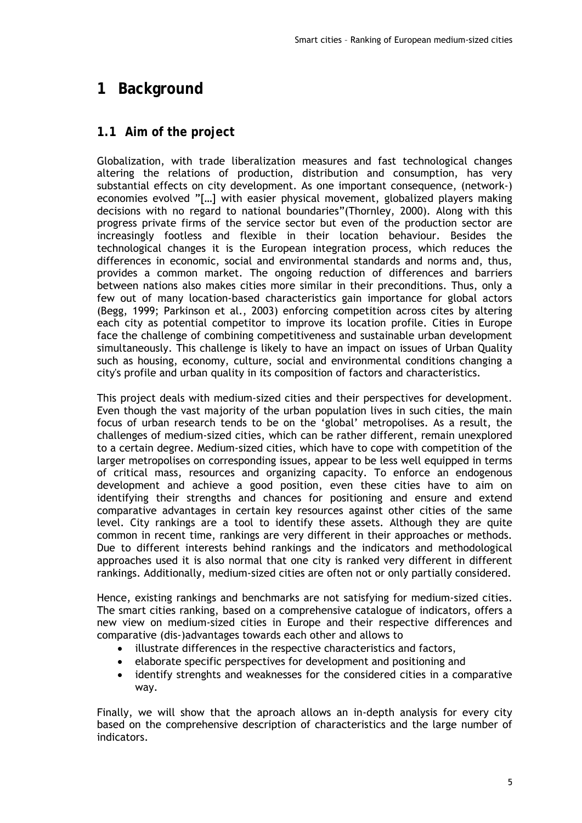# **1 Background**

## **1.1 Aim of the project**

Globalization, with trade liberalization measures and fast technological changes altering the relations of production, distribution and consumption, has very substantial effects on city development. As one important consequence, (network-) economies evolved "[…] with easier physical movement, globalized players making decisions with no regard to national boundaries"(Thornley, 2000). Along with this progress private firms of the service sector but even of the production sector are increasingly footless and flexible in their location behaviour. Besides the technological changes it is the European integration process, which reduces the differences in economic, social and environmental standards and norms and, thus, provides a common market. The ongoing reduction of differences and barriers between nations also makes cities more similar in their preconditions. Thus, only a few out of many location-based characteristics gain importance for global actors (Begg, 1999; Parkinson et al., 2003) enforcing competition across cites by altering each city as potential competitor to improve its location profile. Cities in Europe face the challenge of combining competitiveness and sustainable urban development simultaneously. This challenge is likely to have an impact on issues of Urban Quality such as housing, economy, culture, social and environmental conditions changing a city's profile and urban quality in its composition of factors and characteristics.

This project deals with medium-sized cities and their perspectives for development. Even though the vast majority of the urban population lives in such cities, the main focus of urban research tends to be on the 'global' metropolises. As a result, the challenges of medium-sized cities, which can be rather different, remain unexplored to a certain degree. Medium-sized cities, which have to cope with competition of the larger metropolises on corresponding issues, appear to be less well equipped in terms of critical mass, resources and organizing capacity. To enforce an endogenous development and achieve a good position, even these cities have to aim on identifying their strengths and chances for positioning and ensure and extend comparative advantages in certain key resources against other cities of the same level. City rankings are a tool to identify these assets. Although they are quite common in recent time, rankings are very different in their approaches or methods. Due to different interests behind rankings and the indicators and methodological approaches used it is also normal that one city is ranked very different in different rankings. Additionally, medium-sized cities are often not or only partially considered.

Hence, existing rankings and benchmarks are not satisfying for medium-sized cities. The smart cities ranking, based on a comprehensive catalogue of indicators, offers a new view on medium-sized cities in Europe and their respective differences and comparative (dis-)advantages towards each other and allows to

- illustrate differences in the respective characteristics and factors,
- elaborate specific perspectives for development and positioning and
- identify strenghts and weaknesses for the considered cities in a comparative way.

Finally, we will show that the aproach allows an in-depth analysis for every city based on the comprehensive description of characteristics and the large number of indicators.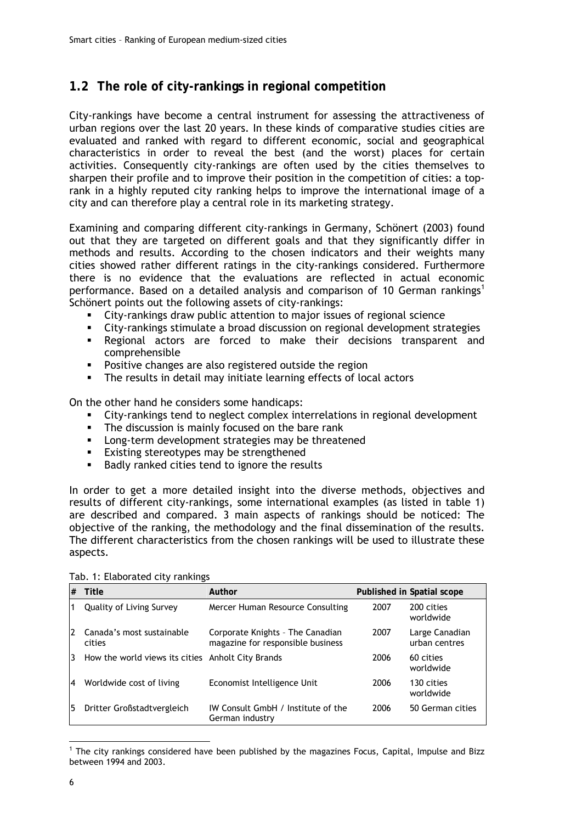### **1.2 The role of city-rankings in regional competition**

City-rankings have become a central instrument for assessing the attractiveness of urban regions over the last 20 years. In these kinds of comparative studies cities are evaluated and ranked with regard to different economic, social and geographical characteristics in order to reveal the best (and the worst) places for certain activities. Consequently city-rankings are often used by the cities themselves to sharpen their profile and to improve their position in the competition of cities: a toprank in a highly reputed city ranking helps to improve the international image of a city and can therefore play a central role in its marketing strategy.

Examining and comparing different city-rankings in Germany, Schönert (2003) found out that they are targeted on different goals and that they significantly differ in methods and results. According to the chosen indicators and their weights many cities showed rather different ratings in the city-rankings considered. Furthermore there is no evidence that the evaluations are reflected in actual economic performance. Based on a detailed analysis and comparison of 10 German rankings<sup>1</sup> Schönert points out the following assets of city-rankings:

- City-rankings draw public attention to major issues of regional science
- City-rankings stimulate a broad discussion on regional development strategies
- Regional actors are forced to make their decisions transparent and comprehensible
- **Positive changes are also registered outside the region**
- **The results in detail may initiate learning effects of local actors**

On the other hand he considers some handicaps:

- City-rankings tend to neglect complex interrelations in regional development
- The discussion is mainly focused on the bare rank
- **EXEC** Long-term development strategies may be threatened
- **Existing stereotypes may be strengthened**
- Badly ranked cities tend to ignore the results

In order to get a more detailed insight into the diverse methods, objectives and results of different city-rankings, some international examples (as listed in table 1) are described and compared. 3 main aspects of rankings should be noticed: The objective of the ranking, the methodology and the final dissemination of the results. The different characteristics from the chosen rankings will be used to illustrate these aspects.

| #  | Title                                             | Author                                                                |      | Published in Spatial scope      |
|----|---------------------------------------------------|-----------------------------------------------------------------------|------|---------------------------------|
| 1  | Quality of Living Survey                          | Mercer Human Resource Consulting                                      | 2007 | 200 cities<br>worldwide         |
| 12 | Canada's most sustainable<br>cities               | Corporate Knights - The Canadian<br>magazine for responsible business | 2007 | Large Canadian<br>urban centres |
| 13 | How the world views its cities Anholt City Brands |                                                                       | 2006 | 60 cities<br>worldwide          |
| 14 | Worldwide cost of living                          | Economist Intelligence Unit                                           | 2006 | 130 cities<br>worldwide         |
| 15 | Dritter Großstadtvergleich                        | IW Consult GmbH / Institute of the<br>German industry                 | 2006 | 50 German cities                |

Tab. 1: Elaborated city rankings

<sup>-</sup><sup>1</sup> The city rankings considered have been published by the magazines Focus, Capital, Impulse and Bizz between 1994 and 2003.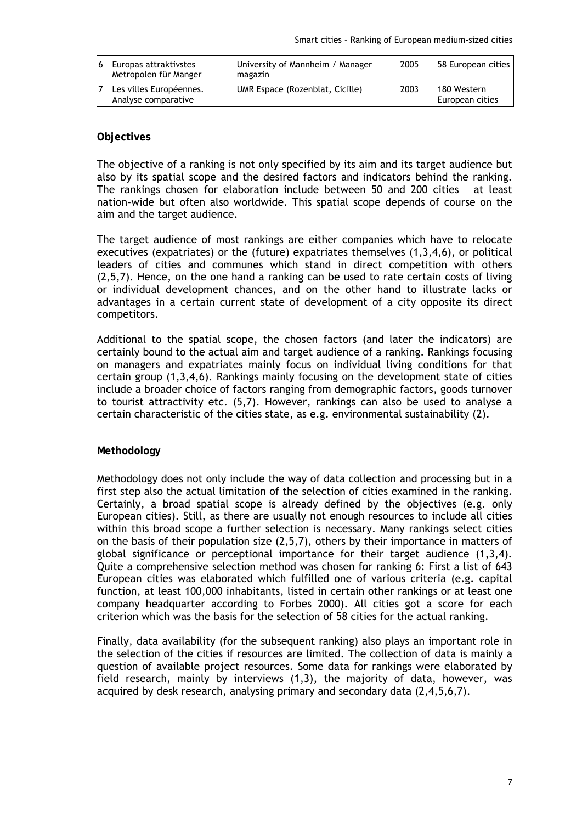| 16 | Europas attraktivstes<br>Metropolen für Manger | University of Mannheim / Manager<br>magazin | 2005 | 58 European cities             |
|----|------------------------------------------------|---------------------------------------------|------|--------------------------------|
|    | Les villes Européennes.<br>Analyse comparative | UMR Espace (Rozenblat, Cicille)             | 2003 | 180 Western<br>European cities |

### **Objectives**

The objective of a ranking is not only specified by its aim and its target audience but also by its spatial scope and the desired factors and indicators behind the ranking. The rankings chosen for elaboration include between 50 and 200 cities – at least nation-wide but often also worldwide. This spatial scope depends of course on the aim and the target audience.

The target audience of most rankings are either companies which have to relocate executives (expatriates) or the (future) expatriates themselves (1,3,4,6), or political leaders of cities and communes which stand in direct competition with others (2,5,7). Hence, on the one hand a ranking can be used to rate certain costs of living or individual development chances, and on the other hand to illustrate lacks or advantages in a certain current state of development of a city opposite its direct competitors.

Additional to the spatial scope, the chosen factors (and later the indicators) are certainly bound to the actual aim and target audience of a ranking. Rankings focusing on managers and expatriates mainly focus on individual living conditions for that certain group (1,3,4,6). Rankings mainly focusing on the development state of cities include a broader choice of factors ranging from demographic factors, goods turnover to tourist attractivity etc. (5,7). However, rankings can also be used to analyse a certain characteristic of the cities state, as e.g. environmental sustainability (2).

### **Methodology**

Methodology does not only include the way of data collection and processing but in a first step also the actual limitation of the selection of cities examined in the ranking. Certainly, a broad spatial scope is already defined by the objectives (e.g. only European cities). Still, as there are usually not enough resources to include all cities within this broad scope a further selection is necessary. Many rankings select cities on the basis of their population size (2,5,7), others by their importance in matters of global significance or perceptional importance for their target audience (1,3,4). Quite a comprehensive selection method was chosen for ranking 6: First a list of 643 European cities was elaborated which fulfilled one of various criteria (e.g. capital function, at least 100,000 inhabitants, listed in certain other rankings or at least one company headquarter according to Forbes 2000). All cities got a score for each criterion which was the basis for the selection of 58 cities for the actual ranking.

Finally, data availability (for the subsequent ranking) also plays an important role in the selection of the cities if resources are limited. The collection of data is mainly a question of available project resources. Some data for rankings were elaborated by field research, mainly by interviews (1,3), the majority of data, however, was acquired by desk research, analysing primary and secondary data (2,4,5,6,7).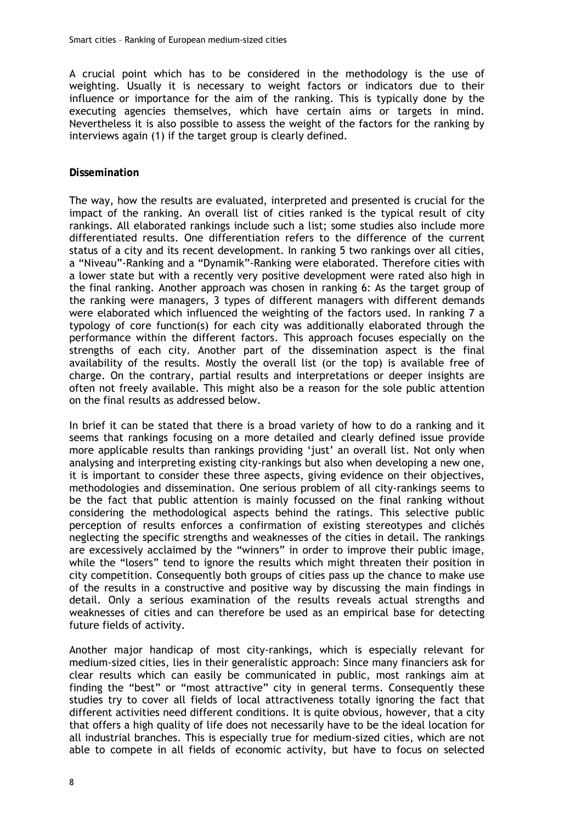A crucial point which has to be considered in the methodology is the use of weighting. Usually it is necessary to weight factors or indicators due to their influence or importance for the aim of the ranking. This is typically done by the executing agencies themselves, which have certain aims or targets in mind. Nevertheless it is also possible to assess the weight of the factors for the ranking by interviews again (1) if the target group is clearly defined.

### **Dissemination**

The way, how the results are evaluated, interpreted and presented is crucial for the impact of the ranking. An overall list of cities ranked is the typical result of city rankings. All elaborated rankings include such a list; some studies also include more differentiated results. One differentiation refers to the difference of the current status of a city and its recent development. In ranking 5 two rankings over all cities, a "Niveau"-Ranking and a "Dynamik"-Ranking were elaborated. Therefore cities with a lower state but with a recently very positive development were rated also high in the final ranking. Another approach was chosen in ranking 6: As the target group of the ranking were managers, 3 types of different managers with different demands were elaborated which influenced the weighting of the factors used. In ranking 7 a typology of core function(s) for each city was additionally elaborated through the performance within the different factors. This approach focuses especially on the strengths of each city. Another part of the dissemination aspect is the final availability of the results. Mostly the overall list (or the top) is available free of charge. On the contrary, partial results and interpretations or deeper insights are often not freely available. This might also be a reason for the sole public attention on the final results as addressed below.

In brief it can be stated that there is a broad variety of how to do a ranking and it seems that rankings focusing on a more detailed and clearly defined issue provide more applicable results than rankings providing 'just' an overall list. Not only when analysing and interpreting existing city-rankings but also when developing a new one, it is important to consider these three aspects, giving evidence on their objectives, methodologies and dissemination. One serious problem of all city-rankings seems to be the fact that public attention is mainly focussed on the final ranking without considering the methodological aspects behind the ratings. This selective public perception of results enforces a confirmation of existing stereotypes and clichés neglecting the specific strengths and weaknesses of the cities in detail. The rankings are excessively acclaimed by the "winners" in order to improve their public image, while the "losers" tend to ignore the results which might threaten their position in city competition. Consequently both groups of cities pass up the chance to make use of the results in a constructive and positive way by discussing the main findings in detail. Only a serious examination of the results reveals actual strengths and weaknesses of cities and can therefore be used as an empirical base for detecting future fields of activity.

Another major handicap of most city-rankings, which is especially relevant for medium-sized cities, lies in their generalistic approach: Since many financiers ask for clear results which can easily be communicated in public, most rankings aim at finding the "best" or "most attractive" city in general terms. Consequently these studies try to cover all fields of local attractiveness totally ignoring the fact that different activities need different conditions. It is quite obvious, however, that a city that offers a high quality of life does not necessarily have to be the ideal location for all industrial branches. This is especially true for medium-sized cities, which are not able to compete in all fields of economic activity, but have to focus on selected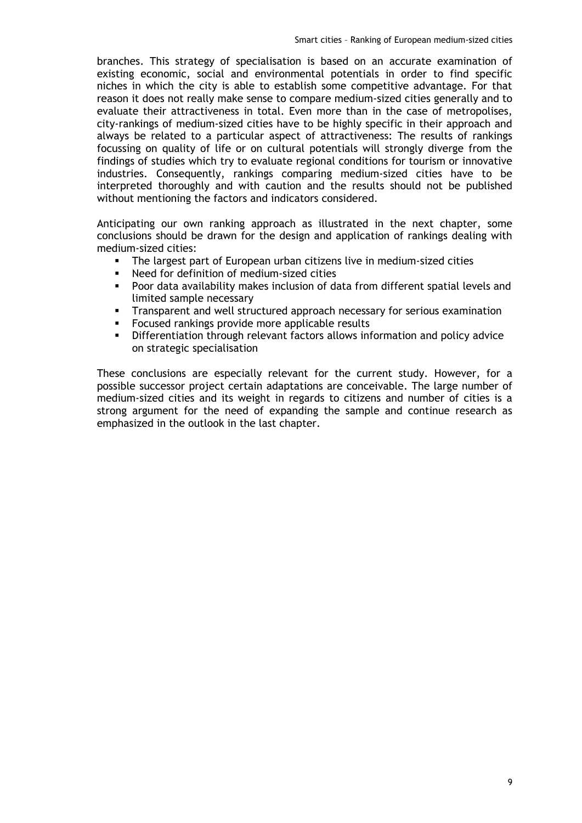branches. This strategy of specialisation is based on an accurate examination of existing economic, social and environmental potentials in order to find specific niches in which the city is able to establish some competitive advantage. For that reason it does not really make sense to compare medium-sized cities generally and to evaluate their attractiveness in total. Even more than in the case of metropolises, city-rankings of medium-sized cities have to be highly specific in their approach and always be related to a particular aspect of attractiveness: The results of rankings focussing on quality of life or on cultural potentials will strongly diverge from the findings of studies which try to evaluate regional conditions for tourism or innovative industries. Consequently, rankings comparing medium-sized cities have to be interpreted thoroughly and with caution and the results should not be published without mentioning the factors and indicators considered.

Anticipating our own ranking approach as illustrated in the next chapter, some conclusions should be drawn for the design and application of rankings dealing with medium-sized cities:

- The largest part of European urban citizens live in medium-sized cities
- Need for definition of medium-sized cities
- Poor data availability makes inclusion of data from different spatial levels and limited sample necessary
- Transparent and well structured approach necessary for serious examination<br>Focused rankings provide more applicable results
- Focused rankings provide more applicable results
- Differentiation through relevant factors allows information and policy advice on strategic specialisation

These conclusions are especially relevant for the current study. However, for a possible successor project certain adaptations are conceivable. The large number of medium-sized cities and its weight in regards to citizens and number of cities is a strong argument for the need of expanding the sample and continue research as emphasized in the outlook in the last chapter.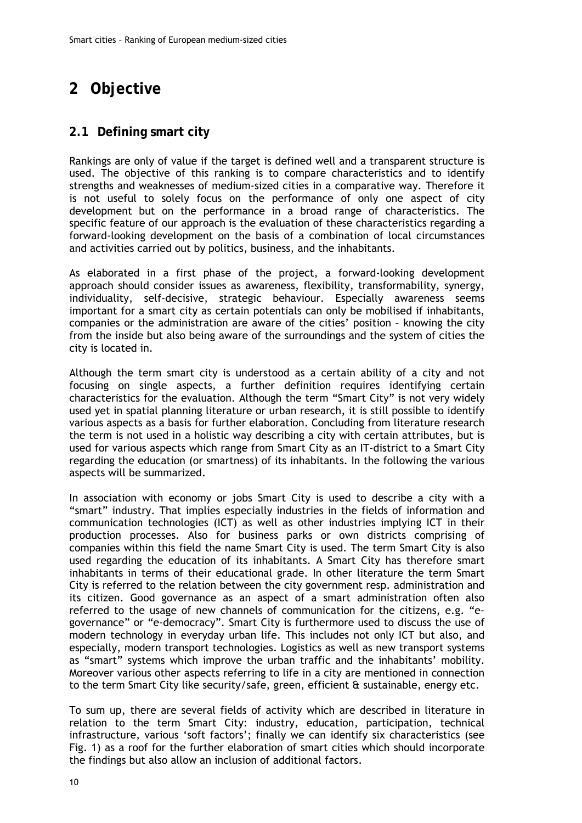# **2 Objective**

### **2.1 Defining smart city**

Rankings are only of value if the target is defined well and a transparent structure is used. The objective of this ranking is to compare characteristics and to identify strengths and weaknesses of medium-sized cities in a comparative way. Therefore it is not useful to solely focus on the performance of only one aspect of city development but on the performance in a broad range of characteristics. The specific feature of our approach is the evaluation of these characteristics regarding a forward-looking development on the basis of a combination of local circumstances and activities carried out by politics, business, and the inhabitants.

As elaborated in a first phase of the project, a forward-looking development approach should consider issues as awareness, flexibility, transformability, synergy, individuality, self-decisive, strategic behaviour. Especially awareness seems important for a smart city as certain potentials can only be mobilised if inhabitants, companies or the administration are aware of the cities' position – knowing the city from the inside but also being aware of the surroundings and the system of cities the city is located in.

Although the term smart city is understood as a certain ability of a city and not focusing on single aspects, a further definition requires identifying certain characteristics for the evaluation. Although the term "Smart City" is not very widely used yet in spatial planning literature or urban research, it is still possible to identify various aspects as a basis for further elaboration. Concluding from literature research the term is not used in a holistic way describing a city with certain attributes, but is used for various aspects which range from Smart City as an IT-district to a Smart City regarding the education (or smartness) of its inhabitants. In the following the various aspects will be summarized.

In association with economy or jobs Smart City is used to describe a city with a "smart" industry. That implies especially industries in the fields of information and communication technologies (ICT) as well as other industries implying ICT in their production processes. Also for business parks or own districts comprising of companies within this field the name Smart City is used. The term Smart City is also used regarding the education of its inhabitants. A Smart City has therefore smart inhabitants in terms of their educational grade. In other literature the term Smart City is referred to the relation between the city government resp. administration and its citizen. Good governance as an aspect of a smart administration often also referred to the usage of new channels of communication for the citizens, e.g. "egovernance" or "e-democracy". Smart City is furthermore used to discuss the use of modern technology in everyday urban life. This includes not only ICT but also, and especially, modern transport technologies. Logistics as well as new transport systems as "smart" systems which improve the urban traffic and the inhabitants' mobility. Moreover various other aspects referring to life in a city are mentioned in connection to the term Smart City like security/safe, green, efficient & sustainable, energy etc.

To sum up, there are several fields of activity which are described in literature in relation to the term Smart City: industry, education, participation, technical infrastructure, various 'soft factors'; finally we can identify six characteristics (see Fig. 1) as a roof for the further elaboration of smart cities which should incorporate the findings but also allow an inclusion of additional factors.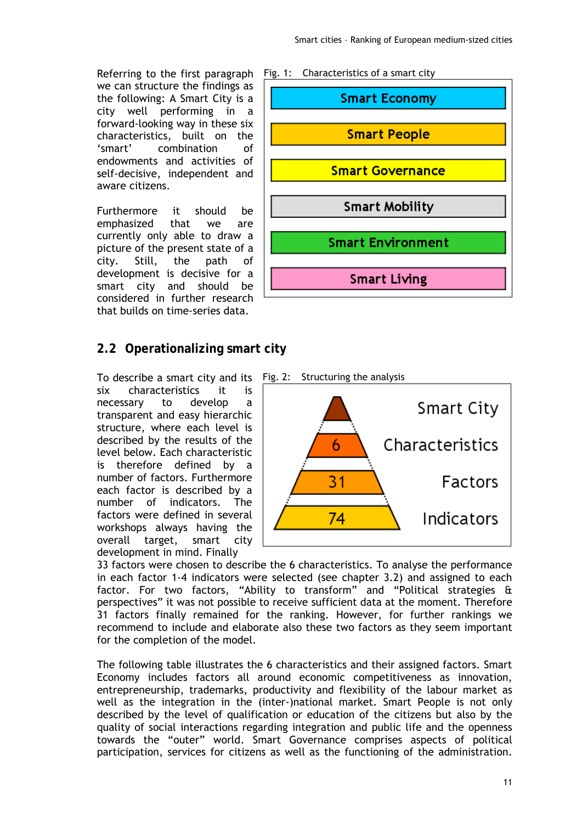Referring to the first paragraph we can structure the findings as the following: A Smart City is a city well performing in a forward-looking way in these six characteristics, built on the 'smart' combination of endowments and activities of self-decisive, independent and aware citizens.

Furthermore it should be emphasized that we are currently only able to draw a picture of the present state of a city. Still, the path of development is decisive for a smart city and should be considered in further research that builds on time-series data.

### **2.2 Operationalizing smart city**

To describe a smart city and its six characteristics it is necessary to develop a transparent and easy hierarchic structure, where each level is described by the results of the level below. Each characteristic is therefore defined by a number of factors. Furthermore each factor is described by a number of indicators. The factors were defined in several workshops always having the overall target, smart city development in mind. Finally





33 factors were chosen to describe the 6 characteristics. To analyse the performance in each factor 1-4 indicators were selected (see chapter 3.2) and assigned to each factor. For two factors, "Ability to transform" and "Political strategies & perspectives" it was not possible to receive sufficient data at the moment. Therefore 31 factors finally remained for the ranking. However, for further rankings we recommend to include and elaborate also these two factors as they seem important for the completion of the model.

The following table illustrates the 6 characteristics and their assigned factors. Smart Economy includes factors all around economic competitiveness as innovation, entrepreneurship, trademarks, productivity and flexibility of the labour market as well as the integration in the (inter-)national market. Smart People is not only described by the level of qualification or education of the citizens but also by the quality of social interactions regarding integration and public life and the openness towards the "outer" world. Smart Governance comprises aspects of political participation, services for citizens as well as the functioning of the administration.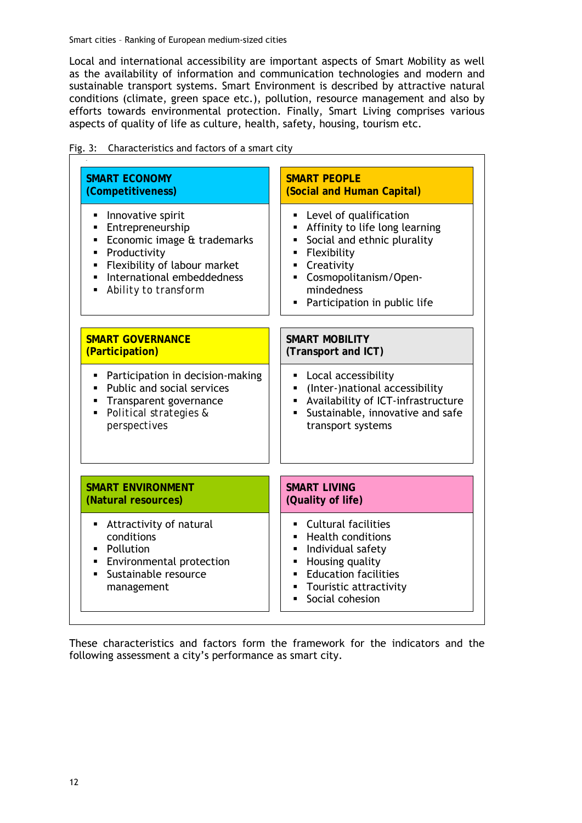Local and international accessibility are important aspects of Smart Mobility as well as the availability of information and communication technologies and modern and sustainable transport systems. Smart Environment is described by attractive natural conditions (climate, green space etc.), pollution, resource management and also by efforts towards environmental protection. Finally, Smart Living comprises various aspects of quality of life as culture, health, safety, housing, tourism etc.

| <b>SMART ECONOMY</b>                                                                                                                                                                           | <b>SMART PEOPLE</b>                                                                                                                                                                                                              |
|------------------------------------------------------------------------------------------------------------------------------------------------------------------------------------------------|----------------------------------------------------------------------------------------------------------------------------------------------------------------------------------------------------------------------------------|
| (Competitiveness)                                                                                                                                                                              | (Social and Human Capital)                                                                                                                                                                                                       |
| Innovative spirit<br>٠<br>Entrepreneurship<br>Economic image & trademarks<br>٠<br>Productivity<br>٠<br>Flexibility of labour market<br>٠<br>International embeddedness<br>Ability to transform | Level of qualification<br>п<br>Affinity to life long learning<br>٠<br>Social and ethnic plurality<br>٠<br>· Flexibility<br>• Creativity<br>Cosmopolitanism/Open-<br>mindedness<br>Participation in public life<br>$\blacksquare$ |
| <b>SMART GOVERNANCE</b>                                                                                                                                                                        | <b>SMART MOBILITY</b>                                                                                                                                                                                                            |
| (Participation)                                                                                                                                                                                | (Transport and ICT)                                                                                                                                                                                                              |
| Participation in decision-making                                                                                                                                                               | Local accessibility                                                                                                                                                                                                              |
| Public and social services                                                                                                                                                                     | (Inter-)national accessibility                                                                                                                                                                                                   |
| Transparent governance                                                                                                                                                                         | Availability of ICT-infrastructure                                                                                                                                                                                               |
| Political strategies &                                                                                                                                                                         | Sustainable, innovative and safe                                                                                                                                                                                                 |
| perspectives                                                                                                                                                                                   | transport systems                                                                                                                                                                                                                |
| <b>SMART ENVIRONMENT</b>                                                                                                                                                                       | <b>SMART LIVING</b>                                                                                                                                                                                                              |
| (Natural resources)                                                                                                                                                                            | (Quality of life)                                                                                                                                                                                                                |
| Attractivity of natural<br>conditions<br>Pollution<br><b>Environmental protection</b><br>Sustainable resource<br>$\blacksquare$<br>management                                                  | <b>Cultural facilities</b><br><b>Health conditions</b><br>Individual safety<br>٠<br>• Housing quality<br><b>Education facilities</b><br>Touristic attractivity<br>٠<br>Social cohesion<br>$\blacksquare$                         |

Fig. 3: Characteristics and factors of a smart city

These characteristics and factors form the framework for the indicators and the following assessment a city's performance as smart city.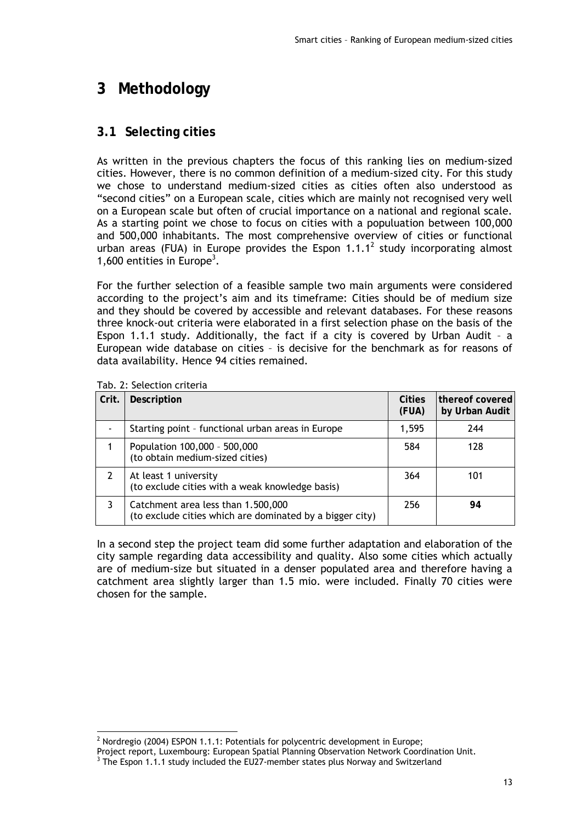# **3 Methodology**

### **3.1 Selecting cities**

As written in the previous chapters the focus of this ranking lies on medium-sized cities. However, there is no common definition of a medium-sized city. For this study we chose to understand medium-sized cities as cities often also understood as "second cities" on a European scale, cities which are mainly not recognised very well on a European scale but often of crucial importance on a national and regional scale. As a starting point we chose to focus on cities with a populuation between 100,000 and 500,000 inhabitants. The most comprehensive overview of cities or functional urban areas (FUA) in Europe provides the Espon 1.1.1<sup>2</sup> study incorporating almost 1,600 entities in Europe<sup>3</sup>.

For the further selection of a feasible sample two main arguments were considered according to the project's aim and its timeframe: Cities should be of medium size and they should be covered by accessible and relevant databases. For these reasons three knock-out criteria were elaborated in a first selection phase on the basis of the Espon 1.1.1 study. Additionally, the fact if a city is covered by Urban Audit – a European wide database on cities – is decisive for the benchmark as for reasons of data availability. Hence 94 cities remained.

| Crit. | Description                                                                                    | <b>Cities</b><br>(FUA) | thereof covered<br>by Urban Audit |
|-------|------------------------------------------------------------------------------------------------|------------------------|-----------------------------------|
|       | Starting point - functional urban areas in Europe                                              | 1,595                  | 244                               |
|       | Population 100,000 - 500,000<br>(to obtain medium-sized cities)                                | 584                    | 128                               |
|       | At least 1 university<br>(to exclude cities with a weak knowledge basis)                       | 364                    | 101                               |
|       | Catchment area less than 1.500,000<br>(to exclude cities which are dominated by a bigger city) | 256                    | 94                                |

Tab. 2: Selection criteria

In a second step the project team did some further adaptation and elaboration of the city sample regarding data accessibility and quality. Also some cities which actually are of medium-size but situated in a denser populated area and therefore having a catchment area slightly larger than 1.5 mio. were included. Finally 70 cities were chosen for the sample.

 <sup>2</sup> Nordregio (2004) ESPON 1.1.1: Potentials for polycentric development in Europe;

Project report, Luxembourg: European Spatial Planning Observation Network Coordination Unit. 3

 $3$  The Espon 1.1.1 study included the EU27-member states plus Norway and Switzerland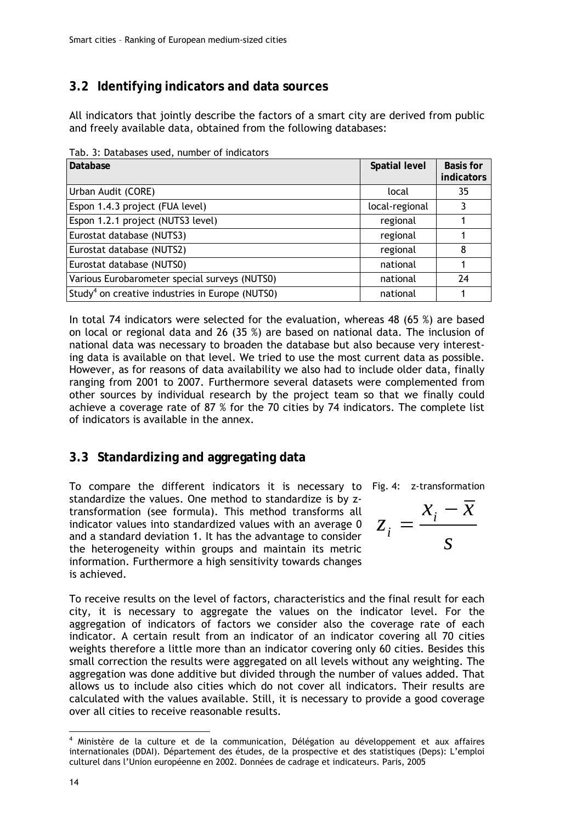# **3.2 Identifying indicators and data sources**

All indicators that jointly describe the factors of a smart city are derived from public and freely available data, obtained from the following databases:

| Database                                                    | Spatial level  | <b>Basis for</b><br>indicators |
|-------------------------------------------------------------|----------------|--------------------------------|
| Urban Audit (CORE)                                          | local          | 35                             |
| Espon 1.4.3 project (FUA level)                             | local-regional |                                |
| Espon 1.2.1 project (NUTS3 level)                           | regional       |                                |
| Eurostat database (NUTS3)                                   | regional       |                                |
| Eurostat database (NUTS2)                                   | regional       | 8                              |
| Eurostat database (NUTS0)                                   | national       |                                |
| Various Eurobarometer special surveys (NUTS0)               | national       | 24                             |
| Study <sup>4</sup> on creative industries in Europe (NUTS0) | national       |                                |

Tab. 3: Databases used, number of indicators

In total 74 indicators were selected for the evaluation, whereas 48 (65 %) are based on local or regional data and 26 (35 %) are based on national data. The inclusion of national data was necessary to broaden the database but also because very interesting data is available on that level. We tried to use the most current data as possible. However, as for reasons of data availability we also had to include older data, finally ranging from 2001 to 2007. Furthermore several datasets were complemented from other sources by individual research by the project team so that we finally could achieve a coverage rate of 87 % for the 70 cities by 74 indicators. The complete list of indicators is available in the annex.

### **3.3 Standardizing and aggregating data**

To compare the different indicators it is necessary to Fig. 4: z-transformation standardize the values. One method to standardize is by ztransformation (see formula). This method transforms all indicator values into standardized values with an average 0 and a standard deviation 1. It has the advantage to consider the heterogeneity within groups and maintain its metric information. Furthermore a high sensitivity towards changes is achieved.

$$
z_i = \frac{x_i - \overline{x}}{s}
$$

To receive results on the level of factors, characteristics and the final result for each city, it is necessary to aggregate the values on the indicator level. For the aggregation of indicators of factors we consider also the coverage rate of each indicator. A certain result from an indicator of an indicator covering all 70 cities weights therefore a little more than an indicator covering only 60 cities. Besides this small correction the results were aggregated on all levels without any weighting. The aggregation was done additive but divided through the number of values added. That allows us to include also cities which do not cover all indicators. Their results are calculated with the values available. Still, it is necessary to provide a good coverage over all cities to receive reasonable results.

<sup>-</sup>4 Ministère de la culture et de la communication, Délégation au développement et aux affaires internationales (DDAI). Département des études, de la prospective et des statistiques (Deps): L'emploi culturel dans l'Union européenne en 2002. Données de cadrage et indicateurs. Paris, 2005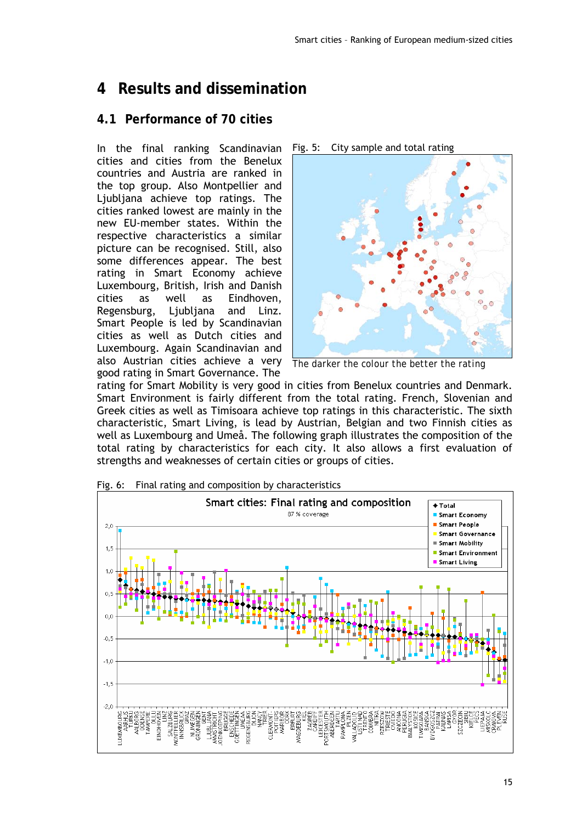# **4 Results and dissemination**

### **4.1 Performance of 70 cities**

In the final ranking Scandinavian cities and cities from the Benelux countries and Austria are ranked in the top group. Also Montpellier and Ljubljana achieve top ratings. The cities ranked lowest are mainly in the new EU-member states. Within the respective characteristics a similar picture can be recognised. Still, also some differences appear. The best rating in Smart Economy achieve Luxembourg, British, Irish and Danish cities as well as Eindhoven, Regensburg, Ljubljana and Linz. Smart People is led by Scandinavian cities as well as Dutch cities and Luxembourg. Again Scandinavian and also Austrian cities achieve a very good rating in Smart Governance. The

Fig. 5: City sample and total rating



*The darker the colour the better the rating* 

rating for Smart Mobility is very good in cities from Benelux countries and Denmark. Smart Environment is fairly different from the total rating. French, Slovenian and Greek cities as well as Timisoara achieve top ratings in this characteristic. The sixth characteristic, Smart Living, is lead by Austrian, Belgian and two Finnish cities as well as Luxembourg and Umeå. The following graph illustrates the composition of the total rating by characteristics for each city. It also allows a first evaluation of strengths and weaknesses of certain cities or groups of cities.



Fig. 6: Final rating and composition by characteristics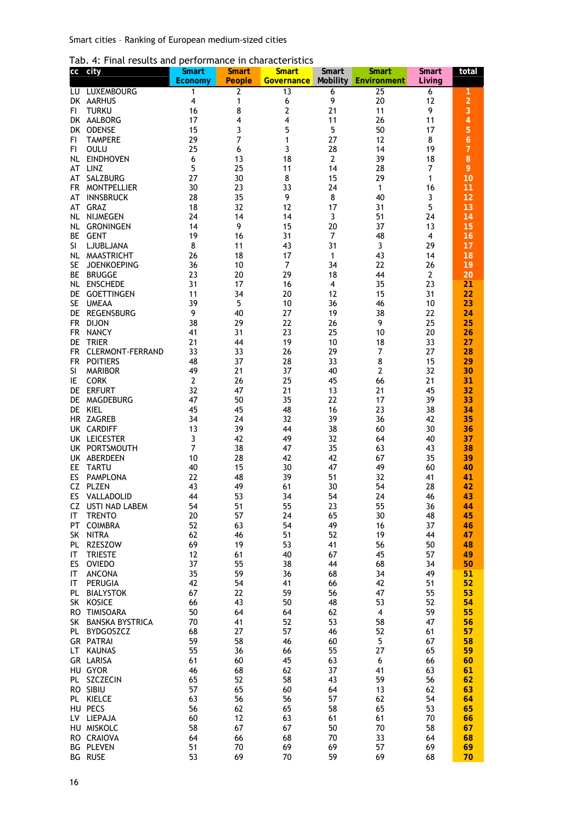| Tab. 4: Final results and performance in characteristics |  |  |  |  |  |  |
|----------------------------------------------------------|--|--|--|--|--|--|
|----------------------------------------------------------|--|--|--|--|--|--|

| СC               | city                                   | <b>Smart</b><br>Economy | <b>Smart</b><br><b>People</b> | <b>Smart</b><br><b>Governance</b> | Smart<br><b>Mobility</b> | Smart<br>Environment | <b>Smart</b><br>Living | total                 |
|------------------|----------------------------------------|-------------------------|-------------------------------|-----------------------------------|--------------------------|----------------------|------------------------|-----------------------|
| LU               | LUXEMBOURG                             | 1                       | 2                             | 13                                | 6                        | 25                   | 6                      | 1                     |
|                  | DK AARHUS                              | 4                       | 1                             | 6                                 | 9                        | 20                   | 12                     | $\overline{a}$        |
| FI.              | <b>TURKU</b>                           | 16                      | 8                             | 2                                 | 21                       | 11                   | 9                      | 3                     |
|                  | DK AALBORG                             | 17<br>15                | 4                             | 4                                 | 11<br>5                  | 26                   | 11<br>17               | $\overline{4}$        |
| DK<br>FI.        | <b>ODENSE</b><br><b>TAMPERE</b>        | 29                      | 3<br>7                        | 5<br>1                            | 27                       | 50<br>12             | 8                      | 5<br>$\boldsymbol{6}$ |
| FI               | OULU                                   | 25                      | 6                             | 3                                 | 28                       | 14                   | 19                     | $\overline{7}$        |
| NL               | <b>EINDHOVEN</b>                       | 6                       | 13                            | 18                                | $\overline{2}$           | 39                   | 18                     | 8                     |
| AT               | LINZ                                   | 5                       | 25                            | 11                                | 14                       | 28                   | $\overline{7}$         | 9                     |
| AT               | SALZBURG                               | 27                      | 30                            | 8                                 | 15                       | 29                   | 1                      | 10                    |
| FR.<br>AT        | <b>MONTPELLIER</b><br><b>INNSBRUCK</b> | 30<br>28                | 23<br>35                      | 33<br>9                           | 24<br>8                  | 1<br>40              | 16<br>3                | 11<br>12              |
| AT               | <b>GRAZ</b>                            | 18                      | 32                            | 12                                | 17                       | 31                   | 5                      | 13                    |
| NL.              | <b>NIJMEGEN</b>                        | 24                      | 14                            | 14                                | 3                        | 51                   | 24                     | 14                    |
| NL.              | <b>GRONINGEN</b>                       | 14                      | 9                             | 15                                | 20                       | 37                   | 13                     | 15                    |
| ВE               | <b>GENT</b>                            | 19                      | 16                            | 31                                | $\overline{7}$           | 48                   | 4                      | 16                    |
| SI<br>NL.        | LJUBLJANA<br><b>MAASTRICHT</b>         | 8<br>26                 | 11<br>18                      | 43<br>17                          | 31<br>1                  | 3<br>43              | 29<br>14               | 17<br>18              |
| SE               | <b>JOENKOEPING</b>                     | 36                      | 10                            | 7                                 | 34                       | 22                   | 26                     | 19                    |
| BE               | <b>BRUGGE</b>                          | 23                      | 20                            | 29                                | 18                       | 44                   | $\overline{2}$         | 20                    |
| NL.              | <b>ENSCHEDE</b>                        | 31                      | 17                            | 16                                | 4                        | 35                   | 23                     | 21                    |
| DE               | <b>GOETTINGEN</b>                      | 11                      | 34                            | 20                                | 12                       | 15                   | 31                     | 22                    |
| <b>SE</b>        | <b>UMEAA</b>                           | 39                      | 5                             | 10                                | 36                       | 46                   | 10                     | 23                    |
| DE.<br><b>FR</b> | <b>REGENSBURG</b><br><b>DIJON</b>      | 9<br>38                 | 40<br>29                      | 27<br>22                          | 19<br>26                 | 38<br>9              | 22<br>25               | 24<br>25              |
| FR.              | <b>NANCY</b>                           | 41                      | 31                            | 23                                | 25                       | 10                   | 20                     | 26                    |
| DE               | <b>TRIER</b>                           | 21                      | 44                            | 19                                | 10                       | 18                   | 33                     | 27                    |
| <b>FR</b>        | <b>CLERMONT-FERRAND</b>                | 33                      | 33                            | 26                                | 29                       | 7                    | 27                     | 28                    |
| <b>FR</b>        | <b>POITIERS</b>                        | 48                      | 37                            | 28                                | 33                       | 8                    | 15                     | 29                    |
| SI               | <b>MARIBOR</b>                         | 49                      | 21                            | 37                                | 40                       | 2                    | 32                     | 30                    |
| IE<br>DE         | <b>CORK</b><br><b>ERFURT</b>           | $\overline{2}$<br>32    | 26<br>47                      | 25<br>21                          | 45<br>13                 | 66<br>21             | 21<br>45               | 31<br>32              |
| DE               | MAGDEBURG                              | 47                      | 50                            | 35                                | 22                       | 17                   | 39                     | 33                    |
| <b>DE</b>        | KIEL                                   | 45                      | 45                            | 48                                | 16                       | 23                   | 38                     | 34                    |
|                  | HR ZAGREB                              | 34                      | 24                            | 32                                | 39                       | 36                   | 42                     | 35                    |
|                  | UK CARDIFF                             | 13                      | 39                            | 44                                | 38                       | 60                   | 30                     | 36                    |
| UK               | <b>LEICESTER</b><br>UK PORTSMOUTH      | 3<br>7                  | 42<br>38                      | 49<br>47                          | 32<br>35                 | 64<br>63             | 40<br>43               | 37<br>38              |
|                  | UK ABERDEEN                            | 10                      | 28                            | 42                                | 42                       | 67                   | 35                     | 39                    |
| EE.              | <b>TARTU</b>                           | 40                      | 15                            | 30                                | 47                       | 49                   | 60                     | 40                    |
| ES               | <b>PAMPLONA</b>                        | 22                      | 48                            | 39                                | 51                       | 32                   | 41                     | 41                    |
| CZ               | <b>PLZEN</b>                           | 43                      | 49                            | 61                                | 30                       | 54                   | 28                     | 42                    |
| ES               | VALLADOLID                             | 44                      | 53                            | 34                                | 54                       | 24                   | 46                     | 43                    |
| CZ.<br>IT        | USTI NAD LABEM<br><b>TRENTO</b>        | 54<br>20                | 51<br>57                      | 55<br>24                          | 23<br>65                 | 55<br>30             | 36<br>48               | 44<br>45              |
| PT               | <b>COIMBRA</b>                         | 52                      | 63                            | 54                                | 49                       | 16                   | 37                     | 46                    |
| SK               | <b>NITRA</b>                           | 62                      | 46                            | 51                                | 52                       | 19                   | 44                     | 47                    |
| PL               | RZESZOW                                | 69                      | 19                            | 53                                | 41                       | 56                   | 50                     | 48                    |
| IT               | <b>TRIESTE</b>                         | 12                      | 61                            | 40                                | 67                       | 45                   | 57                     | 49                    |
| ES<br>IT.        | <b>OVIEDO</b><br>ANCONA                | 37<br>35                | 55<br>59                      | 38<br>36                          | 44<br>68                 | 68<br>34             | 34<br>49               | 50<br>51              |
| IT               | PERUGIA                                | 42                      | 54                            | 41                                | 66                       | 42                   | 51                     | 52                    |
| PL               | <b>BIALYSTOK</b>                       | 67                      | 22                            | 59                                | 56                       | 47                   | 55                     | 53                    |
| SK -             | <b>KOSICE</b>                          | 66                      | 43                            | 50                                | 48                       | 53                   | 52                     | 54                    |
|                  | RO TIMISOARA                           | 50                      | 64                            | 64                                | 62                       | 4                    | 59                     | 55                    |
| SK.              | <b>BANSKA BYSTRICA</b>                 | 70                      | 41                            | 52<br>57                          | 53                       | 58                   | 47                     | 56                    |
| PL               | <b>BYDGOSZCZ</b><br><b>GR PATRAI</b>   | 68<br>59                | 27<br>58                      | 46                                | 46<br>60                 | 52<br>5              | 61<br>67               | 57<br>58              |
| LT –             | <b>KAUNAS</b>                          | 55                      | 36                            | 66                                | 55                       | 27                   | 65                     | 59                    |
|                  | GR LARISA                              | 61                      | 60                            | 45                                | 63                       | 6                    | 66                     | 60                    |
|                  | HU GYOR                                | 46                      | 68                            | 62                                | 37                       | 41                   | 63                     | 61                    |
|                  | PL SZCZECIN                            | 65                      | 52                            | 58                                | 43                       | 59                   | 56                     | 62                    |
|                  | RO SIBIU<br>PL KIELCE                  | 57<br>63                | 65<br>56                      | 60<br>56                          | 64<br>57                 | 13<br>62             | 62<br>54               | 63<br>64              |
|                  | HU PECS                                | 56                      | 62                            | 65                                | 58                       | 65                   | 53                     | 65                    |
|                  | LV LIEPAJA                             | 60                      | 12                            | 63                                | 61                       | 61                   | 70                     | 66                    |
|                  | HU MISKOLC                             | 58                      | 67                            | 67                                | 50                       | 70                   | 58                     | 67                    |
|                  | RO CRAIOVA                             | 64                      | 66                            | 68                                | 70                       | 33                   | 64                     | 68                    |
|                  | <b>BG PLEVEN</b>                       | 51                      | 70                            | 69                                | 69                       | 57                   | 69                     | 69                    |
|                  | <b>BG RUSE</b>                         | 53                      | 69                            | 70                                | 59                       | 69                   | 68                     | 70                    |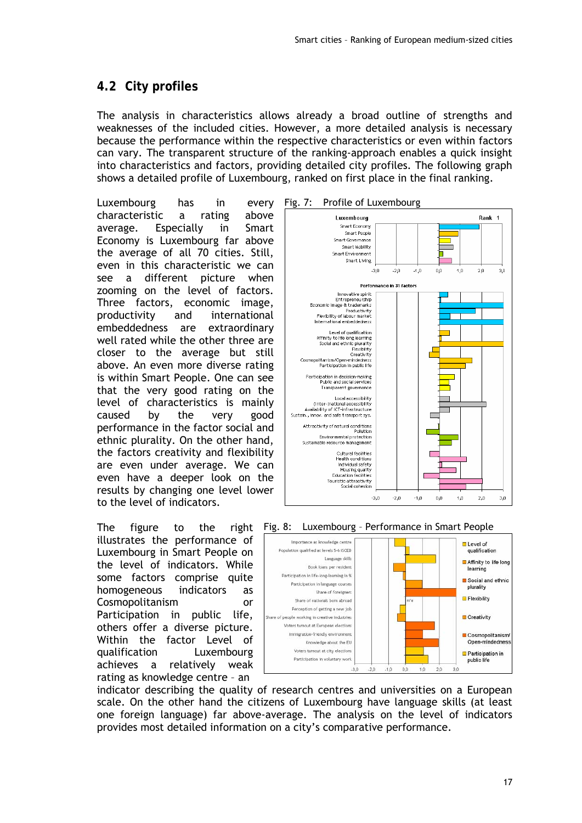# **4.2 City profiles**

The analysis in characteristics allows already a broad outline of strengths and weaknesses of the included cities. However, a more detailed analysis is necessary because the performance within the respective characteristics or even within factors can vary. The transparent structure of the ranking-approach enables a quick insight into characteristics and factors, providing detailed city profiles. The following graph shows a detailed profile of Luxembourg, ranked on first place in the final ranking.

Luxembourg has in every characteristic a rating above average. Especially in Smart Economy is Luxembourg far above the average of all 70 cities. Still, even in this characteristic we can see a different picture when zooming on the level of factors. Three factors, economic image, productivity and international embeddedness are extraordinary well rated while the other three are closer to the average but still above. An even more diverse rating is within Smart People. One can see that the very good rating on the level of characteristics is mainly caused by the very good performance in the factor social and ethnic plurality. On the other hand, the factors creativity and flexibility are even under average. We can even have a deeper look on the results by changing one level lower to the level of indicators.

The figure to the right illustrates the performance of Luxembourg in Smart People on the level of indicators. While some factors comprise quite homogeneous indicators as Cosmopolitanism or Participation in public life, others offer a diverse picture. Within the factor Level of qualification Luxembourg achieves a relatively weak rating as knowledge centre – an



#### Fig. 8: Luxembourg – Performance in Smart People



indicator describing the quality of research centres and universities on a European scale. On the other hand the citizens of Luxembourg have language skills (at least one foreign language) far above-average. The analysis on the level of indicators provides most detailed information on a city's comparative performance.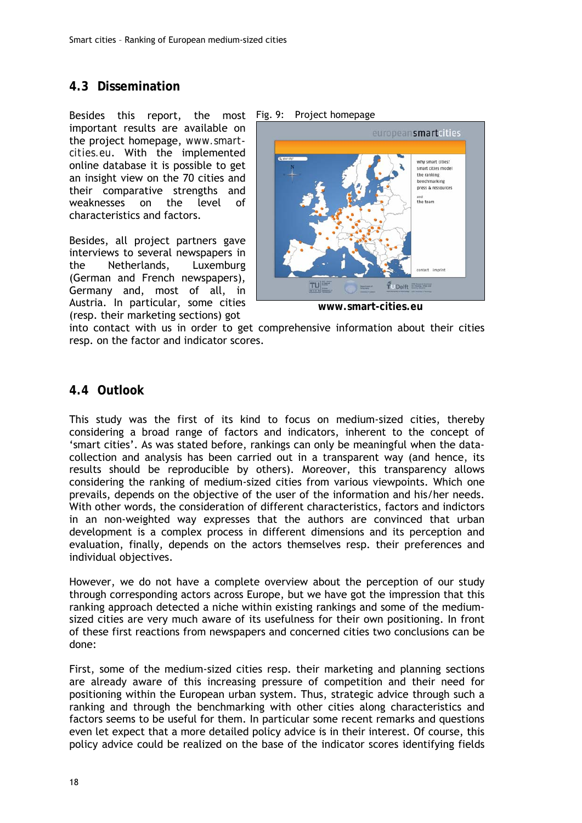### **4.3 Dissemination**

Besides this report, the most Fig. 9: Project-homepage important results are available on the project homepage, *www.smartcities.eu*. With the implemented online database it is possible to get an insight view on the 70 cities and their comparative strengths and weaknesses on the level of characteristics and factors.

Besides, all project partners gave interviews to several newspapers in the Netherlands, Luxemburg (German and French newspapers), Germany and, most of all, in Austria. In particular, some cities (resp. their marketing sections) got



**www.smart-cities.eu** 

into contact with us in order to get comprehensive information about their cities resp. on the factor and indicator scores.

### **4.4 Outlook**

This study was the first of its kind to focus on medium-sized cities, thereby considering a broad range of factors and indicators, inherent to the concept of 'smart cities'. As was stated before, rankings can only be meaningful when the datacollection and analysis has been carried out in a transparent way (and hence, its results should be reproducible by others). Moreover, this transparency allows considering the ranking of medium-sized cities from various viewpoints. Which one prevails, depends on the objective of the user of the information and his/her needs. With other words, the consideration of different characteristics, factors and indictors in an non-weighted way expresses that the authors are convinced that urban development is a complex process in different dimensions and its perception and evaluation, finally, depends on the actors themselves resp. their preferences and individual objectives.

However, we do not have a complete overview about the perception of our study through corresponding actors across Europe, but we have got the impression that this ranking approach detected a niche within existing rankings and some of the mediumsized cities are very much aware of its usefulness for their own positioning. In front of these first reactions from newspapers and concerned cities two conclusions can be done:

First, some of the medium-sized cities resp. their marketing and planning sections are already aware of this increasing pressure of competition and their need for positioning within the European urban system. Thus, strategic advice through such a ranking and through the benchmarking with other cities along characteristics and factors seems to be useful for them. In particular some recent remarks and questions even let expect that a more detailed policy advice is in their interest. Of course, this policy advice could be realized on the base of the indicator scores identifying fields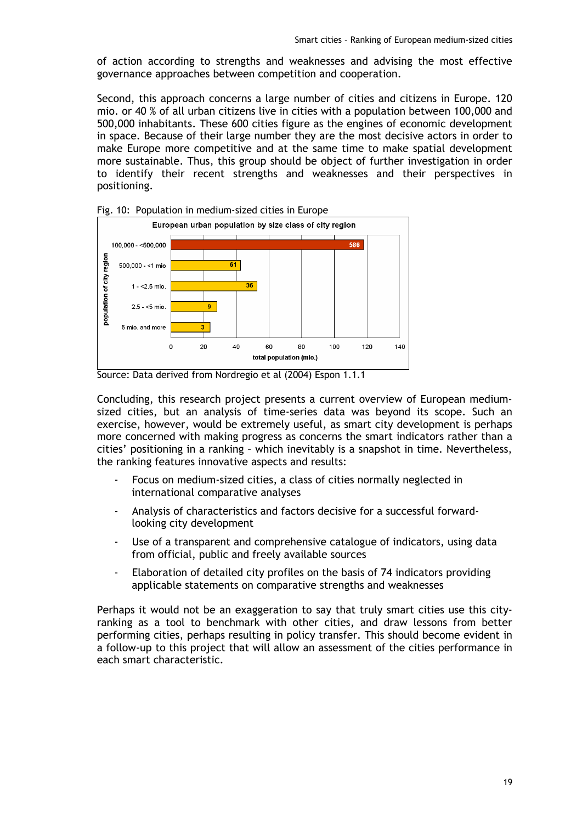of action according to strengths and weaknesses and advising the most effective governance approaches between competition and cooperation.

Second, this approach concerns a large number of cities and citizens in Europe. 120 mio. or 40 % of all urban citizens live in cities with a population between 100,000 and 500,000 inhabitants. These 600 cities figure as the engines of economic development in space. Because of their large number they are the most decisive actors in order to make Europe more competitive and at the same time to make spatial development more sustainable. Thus, this group should be object of further investigation in order to identify their recent strengths and weaknesses and their perspectives in positioning.



Fig. 10: Population in medium-sized cities in Europe

Source: Data derived from Nordregio et al (2004) Espon 1.1.1

Concluding, this research project presents a current overview of European mediumsized cities, but an analysis of time-series data was beyond its scope. Such an exercise, however, would be extremely useful, as smart city development is perhaps more concerned with making progress as concerns the smart indicators rather than a cities' positioning in a ranking – which inevitably is a snapshot in time. Nevertheless, the ranking features innovative aspects and results:

- Focus on medium-sized cities, a class of cities normally neglected in international comparative analyses
- Analysis of characteristics and factors decisive for a successful forwardlooking city development
- Use of a transparent and comprehensive catalogue of indicators, using data from official, public and freely available sources
- Elaboration of detailed city profiles on the basis of 74 indicators providing applicable statements on comparative strengths and weaknesses

Perhaps it would not be an exaggeration to say that truly smart cities use this cityranking as a tool to benchmark with other cities, and draw lessons from better performing cities, perhaps resulting in policy transfer. This should become evident in a follow-up to this project that will allow an assessment of the cities performance in each smart characteristic.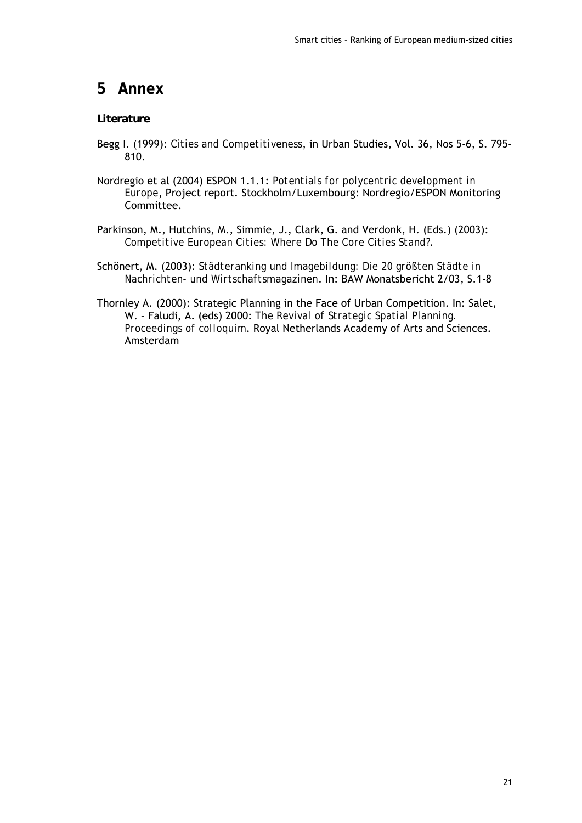# **5 Annex**

### *Literature*

- Begg I. (1999): *Cities and Competitiveness*, in Urban Studies, Vol. 36, Nos 5-6, S. 795- 810.
- Nordregio et al (2004) ESPON 1.1.1: *Potentials for polycentric development in Europe*, Project report. Stockholm/Luxembourg: Nordregio/ESPON Monitoring Committee.
- Parkinson, M., Hutchins, M., Simmie, J., Clark, G. and Verdonk, H. (Eds.) (2003): *Competitive European Cities: Where Do The Core Cities Stand?*.
- Schönert, M. (2003): *Städteranking und Imagebildung: Die 20 größten Städte in Nachrichten- und Wirtschaftsmagazinen*. In: BAW Monatsbericht 2/03, S.1-8
- Thornley A. (2000): Strategic Planning in the Face of Urban Competition. In: Salet, W. – Faludi, A. (eds) 2000: *The Revival of Strategic Spatial Planning. Proceedings of colloquim*. Royal Netherlands Academy of Arts and Sciences. Amsterdam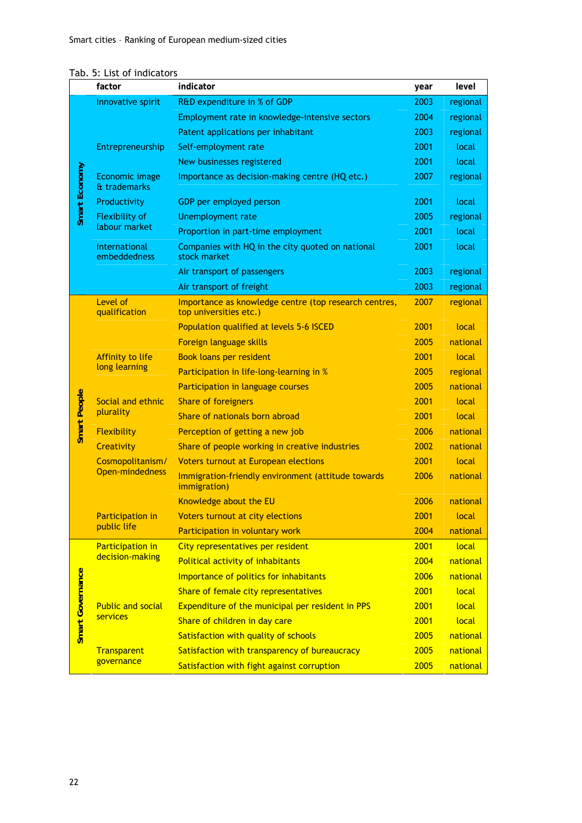|                     | factor                            | indicator                                                                       | year | level    |
|---------------------|-----------------------------------|---------------------------------------------------------------------------------|------|----------|
|                     | Innovative spirit                 | R&D expenditure in % of GDP                                                     | 2003 | regional |
|                     |                                   | Employment rate in knowledge-intensive sectors                                  | 2004 | regional |
|                     |                                   | Patent applications per inhabitant                                              | 2003 | regional |
|                     | Entrepreneurship                  | Self-employment rate                                                            | 2001 | local    |
|                     |                                   | New businesses registered                                                       | 2001 | local    |
| Smart Economy       | Economic image<br>& trademarks    | Importance as decision-making centre (HQ etc.)                                  | 2007 | regional |
|                     | Productivity                      | GDP per employed person                                                         | 2001 | local    |
|                     | <b>Flexibility of</b>             | <b>Unemployment rate</b>                                                        | 2005 | regional |
|                     | labour market                     | Proportion in part-time employment                                              | 2001 | local    |
|                     | International<br>embeddedness     | Companies with HQ in the city quoted on national<br>stock market                | 2001 | local    |
|                     |                                   | Air transport of passengers                                                     | 2003 | regional |
|                     |                                   | Air transport of freight                                                        | 2003 | regional |
|                     | Level of<br>qualification         | Importance as knowledge centre (top research centres,<br>top universities etc.) | 2007 | regional |
|                     |                                   | Population qualified at levels 5-6 ISCED                                        | 2001 | local    |
|                     |                                   | Foreign language skills                                                         | 2005 | national |
|                     | Affinity to life<br>long learning | <b>Book loans per resident</b>                                                  | 2001 | local    |
|                     |                                   | Participation in life-long-learning in %                                        | 2005 | regional |
|                     |                                   | Participation in language courses                                               | 2005 | national |
| <b>Smart People</b> | Social and ethnic                 | <b>Share of foreigners</b>                                                      | 2001 | local    |
|                     | plurality                         | Share of nationals born abroad                                                  | 2001 | local    |
|                     | <b>Flexibility</b>                | Perception of getting a new job                                                 | 2006 | national |
|                     | <b>Creativity</b>                 | Share of people working in creative industries                                  | 2002 | national |
|                     | Cosmopolitanism/                  | <b>Voters turnout at European elections</b>                                     | 2001 | local    |
|                     | <b>Open-mindedness</b>            | Immigration-friendly environment (attitude towards<br>immigration)              | 2006 | national |
|                     |                                   | Knowledge about the EU                                                          | 2006 | national |
|                     | Participation in                  | Voters turnout at city elections                                                | 2001 | local    |
|                     | public life                       | Participation in voluntary work                                                 | 2004 | national |
|                     | <b>Participation in</b>           | City representatives per resident                                               | 2001 | local    |
|                     | decision-making                   | Political activity of inhabitants                                               | 2004 | national |
|                     |                                   | Importance of politics for inhabitants                                          | 2006 | national |
|                     |                                   | Share of female city representatives                                            | 2001 | local    |
|                     | <b>Public and social</b>          | Expenditure of the municipal per resident in PPS                                | 2001 | local    |
| Smart Governance    | services                          | Share of children in day care                                                   | 2001 | local    |
|                     |                                   | Satisfaction with quality of schools                                            | 2005 | national |
|                     | <b>Transparent</b>                | Satisfaction with transparency of bureaucracy                                   | 2005 | national |
|                     | governance                        | Satisfaction with fight against corruption                                      | 2005 | national |

#### Tab. 5: List of indicators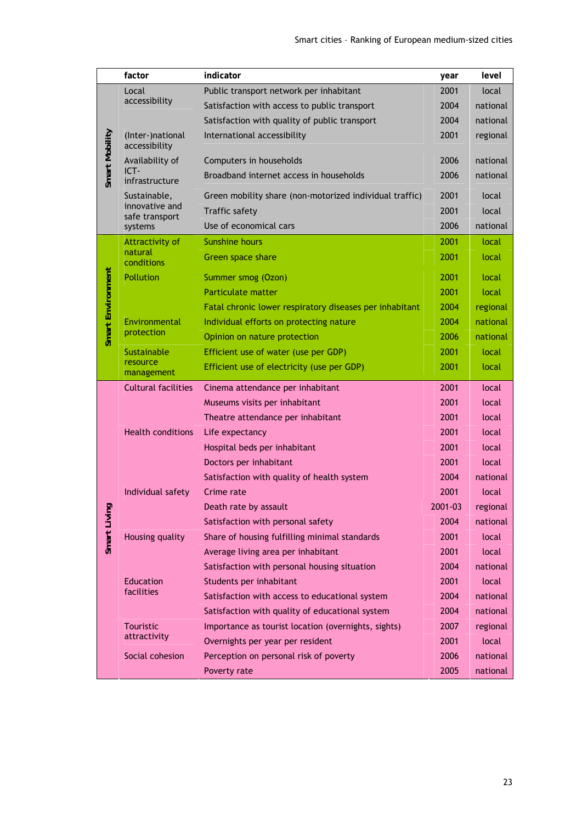|                   | factor                            | indicator                                               | year    | level    |
|-------------------|-----------------------------------|---------------------------------------------------------|---------|----------|
|                   | Local                             | Public transport network per inhabitant                 | 2001    | local    |
|                   | accessibility                     | Satisfaction with access to public transport            | 2004    | national |
|                   |                                   | Satisfaction with quality of public transport           | 2004    | national |
|                   | (Inter-)national<br>accessibility | International accessibility                             | 2001    | regional |
| Smart Mobility    | Availability of                   | Computers in households                                 | 2006    | national |
|                   | ICT-<br>infrastructure            | Broadband internet access in households                 | 2006    | national |
|                   | Sustainable,                      | Green mobility share (non-motorized individual traffic) | 2001    | local    |
|                   | innovative and<br>safe transport  | <b>Traffic safety</b>                                   | 2001    | local    |
|                   | systems                           | Use of economical cars                                  | 2006    | national |
|                   | Attractivity of                   | <b>Sunshine hours</b>                                   | 2001    | local    |
|                   | natural<br>conditions             | Green space share                                       | 2001    | local    |
|                   | Pollution                         | Summer smog (Ozon)                                      | 2001    | local    |
|                   |                                   | <b>Particulate matter</b>                               | 2001    | local    |
| Smart Environment |                                   | Fatal chronic lower respiratory diseases per inhabitant | 2004    | regional |
|                   | Environmental<br>protection       | Individual efforts on protecting nature                 | 2004    | national |
|                   |                                   | Opinion on nature protection                            | 2006    | national |
|                   | Sustainable                       | Efficient use of water (use per GDP)                    | 2001    | local    |
|                   | resource<br>management            | Efficient use of electricity (use per GDP)              | 2001    | local    |
|                   | <b>Cultural facilities</b>        | Cinema attendance per inhabitant                        | 2001    | local    |
|                   |                                   | Museums visits per inhabitant                           | 2001    | local    |
|                   | <b>Health conditions</b>          | Theatre attendance per inhabitant                       | 2001    | local    |
|                   |                                   | Life expectancy                                         | 2001    | local    |
|                   |                                   | Hospital beds per inhabitant                            | 2001    | local    |
|                   |                                   | Doctors per inhabitant                                  | 2001    | local    |
|                   |                                   | Satisfaction with quality of health system              | 2004    | national |
|                   | Individual safety                 | Crime rate                                              | 2001    | local    |
|                   |                                   | Death rate by assault                                   | 2001-03 | regional |
| Smart Living      |                                   | Satisfaction with personal safety                       | 2004    | national |
|                   | Housing quality                   | Share of housing fulfilling minimal standards           | 2001    | local    |
|                   |                                   | Average living area per inhabitant                      | 2001    | local    |
|                   |                                   | Satisfaction with personal housing situation            | 2004    | national |
|                   | Education                         | Students per inhabitant                                 | 2001    | local    |
|                   | facilities                        | Satisfaction with access to educational system          | 2004    | national |
|                   |                                   | Satisfaction with quality of educational system         | 2004    | national |
|                   | <b>Touristic</b>                  | Importance as tourist location (overnights, sights)     | 2007    | regional |
|                   | attractivity                      | Overnights per year per resident                        | 2001    | local    |
|                   | Social cohesion                   | Perception on personal risk of poverty                  | 2006    | national |
|                   |                                   | Poverty rate                                            | 2005    | national |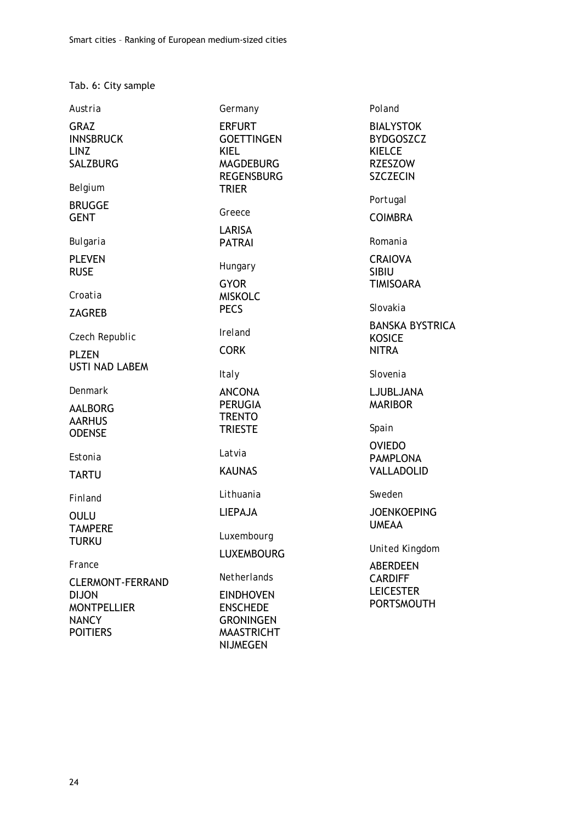Tab. 6: City sample

| Austria                                                                                          | Germany                                                                                                        | Poland                                                                                     |
|--------------------------------------------------------------------------------------------------|----------------------------------------------------------------------------------------------------------------|--------------------------------------------------------------------------------------------|
| <b>GRAZ</b><br><b>INNSBRUCK</b><br><b>LINZ</b><br><b>SALZBURG</b>                                | <b>ERFURT</b><br><b>GOETTINGEN</b><br><b>KIEL</b><br><b>MAGDEBURG</b><br><b>REGENSBURG</b>                     | <b>BIALYSTOK</b><br><b>BYDGOSZCZ</b><br><b>KIELCE</b><br><b>RZESZOW</b><br><b>SZCZECIN</b> |
| Belgium                                                                                          | <b>TRIER</b>                                                                                                   |                                                                                            |
| <b>BRUGGE</b><br><b>GENT</b>                                                                     | Greece                                                                                                         | Portugal<br><b>COIMBRA</b>                                                                 |
| Bulgaria                                                                                         | LARISA<br><b>PATRAI</b>                                                                                        | Romania                                                                                    |
| <b>PLEVEN</b><br><b>RUSE</b>                                                                     | Hungary<br><b>GYOR</b>                                                                                         | <b>CRAIOVA</b><br><b>SIBIU</b><br><b>TIMISOARA</b>                                         |
| Croatia<br><b>ZAGREB</b>                                                                         | <b>MISKOLC</b><br><b>PECS</b>                                                                                  | Slovakia                                                                                   |
| Czech Republic<br><b>PLZEN</b>                                                                   | <b>Ireland</b><br><b>CORK</b>                                                                                  | <b>BANSKA BYSTRICA</b><br><b>KOSICE</b><br><b>NITRA</b>                                    |
| <b>USTI NAD LABEM</b>                                                                            | <b>Italy</b>                                                                                                   | Slovenia                                                                                   |
| Denmark<br><b>AALBORG</b><br><b>AARHUS</b><br><b>ODENSE</b>                                      | <b>ANCONA</b><br><b>PERUGIA</b><br><b>TRENTO</b><br><b>TRIESTE</b>                                             | LJUBLJANA<br><b>MARIBOR</b><br>Spain                                                       |
| Estonia<br><b>TARTU</b>                                                                          | Latvia<br><b>KAUNAS</b>                                                                                        | <b>OVIEDO</b><br><b>PAMPLONA</b><br><b>VALLADOLID</b>                                      |
| Finland                                                                                          | Lithuania                                                                                                      | Sweden                                                                                     |
| <b>OULU</b><br><b>TAMPERE</b>                                                                    | <b>LIEPAJA</b><br>Luxembourg                                                                                   | <b>JOENKOEPING</b><br><b>UMEAA</b>                                                         |
| <b>TURKU</b>                                                                                     | <b>LUXEMBOURG</b>                                                                                              | <b>United Kingdom</b>                                                                      |
| France                                                                                           |                                                                                                                | <b>ABERDEEN</b>                                                                            |
| <b>CLERMONT-FERRAND</b><br><b>DIJON</b><br><b>MONTPELLIER</b><br><b>NANCY</b><br><b>POITIERS</b> | Netherlands<br><b>EINDHOVEN</b><br><b>ENSCHEDE</b><br><b>GRONINGEN</b><br><b>MAASTRICHT</b><br><b>NIJMEGEN</b> | <b>CARDIFF</b><br><b>LEICESTER</b><br><b>PORTSMOUTH</b>                                    |